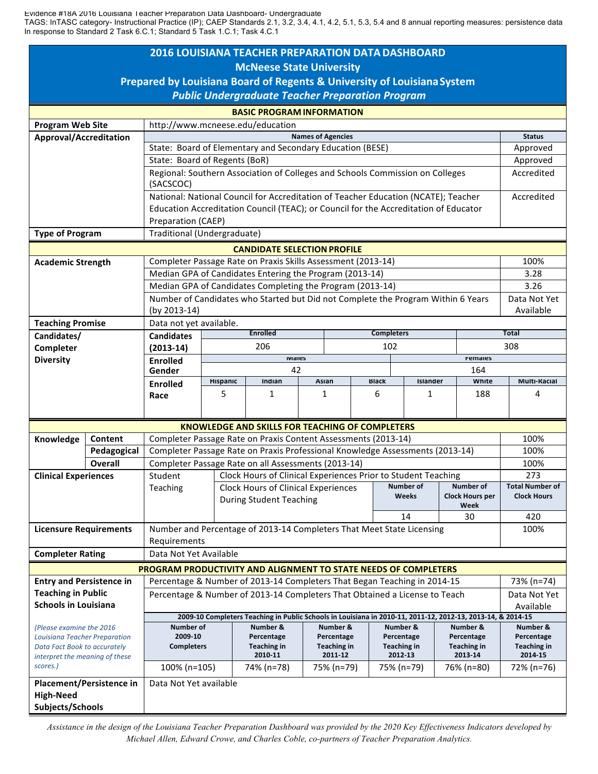Evidence #18A 2016 Louisiana Teacher Preparation Data Dashboard- Undergraduate

TAGS: InTASC category- Instructional Practice (IP); CAEP Standards 2.1, 3.2, 3.4, 4.1, 4.2, 5.1, 5.3, 5.4 and 8 annual reporting measures: persistence data In response to Standard 2 Task 6.C.1; Standard 5 Task 1.C.1; Task 4.C.1

| <b>2016 LOUISIANA TEACHER PREPARATION DATA DASHBOARD</b>                |                |                                                                                                                                                 |                                                        |                                                                              |                                                               |                           |                                          |                                  |                      |                                             |                     |                                              |
|-------------------------------------------------------------------------|----------------|-------------------------------------------------------------------------------------------------------------------------------------------------|--------------------------------------------------------|------------------------------------------------------------------------------|---------------------------------------------------------------|---------------------------|------------------------------------------|----------------------------------|----------------------|---------------------------------------------|---------------------|----------------------------------------------|
| <b>McNeese State University</b>                                         |                |                                                                                                                                                 |                                                        |                                                                              |                                                               |                           |                                          |                                  |                      |                                             |                     |                                              |
| Prepared by Louisiana Board of Regents & University of Louisiana System |                |                                                                                                                                                 |                                                        |                                                                              |                                                               |                           |                                          |                                  |                      |                                             |                     |                                              |
| <b>Public Undergraduate Teacher Preparation Program</b>                 |                |                                                                                                                                                 |                                                        |                                                                              |                                                               |                           |                                          |                                  |                      |                                             |                     |                                              |
| <b>BASIC PROGRAM INFORMATION</b>                                        |                |                                                                                                                                                 |                                                        |                                                                              |                                                               |                           |                                          |                                  |                      |                                             |                     |                                              |
| <b>Program Web Site</b><br>http://www.mcneese.edu/education             |                |                                                                                                                                                 |                                                        |                                                                              |                                                               |                           |                                          |                                  |                      |                                             |                     |                                              |
| Approval/Accreditation                                                  |                | <b>Names of Agencies</b>                                                                                                                        |                                                        |                                                                              |                                                               |                           |                                          |                                  |                      |                                             | <b>Status</b>       |                                              |
|                                                                         |                | State: Board of Elementary and Secondary Education (BESE)                                                                                       |                                                        |                                                                              |                                                               |                           |                                          |                                  |                      |                                             | Approved            |                                              |
|                                                                         |                | State: Board of Regents (BoR)                                                                                                                   |                                                        |                                                                              |                                                               |                           |                                          |                                  |                      | Approved                                    |                     |                                              |
|                                                                         |                | Regional: Southern Association of Colleges and Schools Commission on Colleges<br>(SACSCOC)                                                      |                                                        |                                                                              |                                                               |                           |                                          |                                  |                      | Accredited                                  |                     |                                              |
|                                                                         |                | National: National Council for Accreditation of Teacher Education (NCATE); Teacher                                                              |                                                        |                                                                              |                                                               |                           |                                          |                                  |                      |                                             | Accredited          |                                              |
|                                                                         |                | Education Accreditation Council (TEAC); or Council for the Accreditation of Educator                                                            |                                                        |                                                                              |                                                               |                           |                                          |                                  |                      |                                             |                     |                                              |
|                                                                         |                | Preparation (CAEP)                                                                                                                              |                                                        |                                                                              |                                                               |                           |                                          |                                  |                      |                                             |                     |                                              |
| Traditional (Undergraduate)<br><b>Type of Program</b>                   |                |                                                                                                                                                 |                                                        |                                                                              |                                                               |                           |                                          |                                  |                      |                                             |                     |                                              |
| <b>CANDIDATE SELECTION PROFILE</b>                                      |                |                                                                                                                                                 |                                                        |                                                                              |                                                               |                           |                                          |                                  |                      |                                             |                     |                                              |
| <b>Academic Strength</b>                                                |                | Completer Passage Rate on Praxis Skills Assessment (2013-14)                                                                                    |                                                        |                                                                              |                                                               |                           |                                          |                                  |                      |                                             | 100%                |                                              |
|                                                                         |                | Median GPA of Candidates Entering the Program (2013-14)                                                                                         |                                                        |                                                                              |                                                               |                           |                                          |                                  |                      | 3.28                                        |                     |                                              |
|                                                                         |                | Median GPA of Candidates Completing the Program (2013-14)<br>Number of Candidates who Started but Did not Complete the Program Within 6 Years   |                                                        |                                                                              |                                                               |                           |                                          |                                  | 3.26<br>Data Not Yet |                                             |                     |                                              |
|                                                                         |                | (by 2013-14)                                                                                                                                    |                                                        |                                                                              |                                                               |                           |                                          |                                  | Available            |                                             |                     |                                              |
| <b>Teaching Promise</b>                                                 |                | Data not yet available.                                                                                                                         |                                                        |                                                                              |                                                               |                           |                                          |                                  |                      |                                             |                     |                                              |
| Candidates/                                                             |                | <b>Candidates</b>                                                                                                                               |                                                        | <b>Enrolled</b>                                                              |                                                               |                           |                                          | <b>Completers</b>                |                      | <b>Total</b>                                |                     |                                              |
| Completer                                                               |                | $(2013-14)$                                                                                                                                     |                                                        | 206                                                                          |                                                               |                           | 102                                      |                                  |                      | 308                                         |                     |                                              |
| <b>Diversity</b>                                                        |                | <b>Enrolled</b>                                                                                                                                 | <b>IVIAIES</b>                                         |                                                                              |                                                               |                           |                                          | remaies                          |                      |                                             |                     |                                              |
|                                                                         |                | Gender                                                                                                                                          | 42<br>Hispanic<br>Indian<br>Asian                      |                                                                              |                                                               |                           | 164<br><b>Black</b><br>White<br>Islander |                                  |                      |                                             | <b>Multi-Racial</b> |                                              |
|                                                                         |                | <b>Enrolled</b><br>Race                                                                                                                         | 5                                                      | 1                                                                            |                                                               | 1                         | 6                                        | 1                                |                      | 188                                         |                     | 4                                            |
|                                                                         |                |                                                                                                                                                 |                                                        |                                                                              |                                                               |                           |                                          |                                  |                      |                                             |                     |                                              |
|                                                                         |                |                                                                                                                                                 | <b>KNOWLEDGE AND SKILLS FOR TEACHING OF COMPLETERS</b> |                                                                              |                                                               |                           |                                          |                                  |                      |                                             |                     |                                              |
| Knowledge                                                               | Content        |                                                                                                                                                 |                                                        |                                                                              |                                                               |                           |                                          |                                  |                      |                                             |                     | 100%                                         |
|                                                                         | Pedagogical    | Completer Passage Rate on Praxis Content Assessments (2013-14)<br>Completer Passage Rate on Praxis Professional Knowledge Assessments (2013-14) |                                                        |                                                                              |                                                               |                           |                                          |                                  |                      |                                             | 100%                |                                              |
|                                                                         | <b>Overall</b> |                                                                                                                                                 |                                                        |                                                                              | Completer Passage Rate on all Assessments (2013-14)           |                           |                                          |                                  |                      |                                             |                     | 100%                                         |
| <b>Clinical Experiences</b>                                             |                | Student                                                                                                                                         |                                                        |                                                                              | Clock Hours of Clinical Experiences Prior to Student Teaching |                           |                                          |                                  |                      |                                             |                     | 273                                          |
|                                                                         |                | Teaching                                                                                                                                        |                                                        | <b>Clock Hours of Clinical Experiences</b><br><b>During Student Teaching</b> |                                                               |                           |                                          | <b>Number of</b><br>Weeks        |                      | Number of<br><b>Clock Hours per</b><br>Week |                     | <b>Total Number of</b><br><b>Clock Hours</b> |
|                                                                         |                |                                                                                                                                                 |                                                        |                                                                              |                                                               |                           |                                          |                                  |                      |                                             |                     |                                              |
|                                                                         |                |                                                                                                                                                 |                                                        |                                                                              |                                                               |                           |                                          | 14                               | 30                   |                                             |                     | 420                                          |
| <b>Licensure Requirements</b>                                           |                | Number and Percentage of 2013-14 Completers That Meet State Licensing<br>100%                                                                   |                                                        |                                                                              |                                                               |                           |                                          |                                  |                      |                                             |                     |                                              |
|                                                                         |                | Requirements                                                                                                                                    |                                                        |                                                                              |                                                               |                           |                                          |                                  |                      |                                             |                     |                                              |
| <b>Completer Rating</b>                                                 |                | Data Not Yet Available                                                                                                                          |                                                        |                                                                              |                                                               |                           |                                          |                                  |                      |                                             |                     |                                              |
|                                                                         |                |                                                                                                                                                 |                                                        | PROGRAM PRODUCTIVITY AND ALIGNMENT TO STATE NEEDS OF COMPLETERS              |                                                               |                           |                                          |                                  |                      |                                             |                     |                                              |
| <b>Entry and Persistence in</b>                                         |                | Percentage & Number of 2013-14 Completers That Began Teaching in 2014-15                                                                        |                                                        |                                                                              |                                                               |                           |                                          |                                  |                      | 73% (n=74)                                  |                     |                                              |
| <b>Teaching in Public</b><br><b>Schools in Louisiana</b>                |                | Percentage & Number of 2013-14 Completers That Obtained a License to Teach                                                                      |                                                        |                                                                              |                                                               |                           |                                          |                                  |                      | Data Not Yet<br>Available                   |                     |                                              |
|                                                                         |                | 2009-10 Completers Teaching in Public Schools in Louisiana in 2010-11, 2011-12, 2012-13, 2013-14, & 2014-15                                     |                                                        |                                                                              |                                                               |                           |                                          |                                  |                      |                                             |                     |                                              |
| (Please examine the 2016)<br>Louisiana Teacher Preparation              |                | Number of                                                                                                                                       |                                                        | Number &                                                                     |                                                               | Number &                  |                                          | Number &                         |                      | Number &                                    |                     | Number &                                     |
|                                                                         |                | 2009-10<br><b>Completers</b>                                                                                                                    |                                                        | Percentage<br>Teaching in                                                    |                                                               | Percentage<br>Teaching in |                                          | Percentage<br><b>Teaching in</b> |                      | Percentage<br><b>Teaching in</b>            |                     | Percentage<br>Teaching in                    |
| Data Fact Book to accurately<br>interpret the meaning of these          |                |                                                                                                                                                 |                                                        | 2010-11                                                                      |                                                               | 2011-12                   |                                          | 2012-13                          |                      | 2013-14                                     |                     | 2014-15                                      |
| scores.)                                                                |                | 100% (n=105)<br>74% (n=78)<br>75% (n=79)<br>75% (n=79)<br>76% (n=80)                                                                            |                                                        |                                                                              |                                                               |                           |                                          |                                  |                      | 72% (n=76)                                  |                     |                                              |
| Placement/Persistence in                                                |                | Data Not Yet available                                                                                                                          |                                                        |                                                                              |                                                               |                           |                                          |                                  |                      |                                             |                     |                                              |
| <b>High-Need</b>                                                        |                |                                                                                                                                                 |                                                        |                                                                              |                                                               |                           |                                          |                                  |                      |                                             |                     |                                              |
| Subjects/Schools                                                        |                |                                                                                                                                                 |                                                        |                                                                              |                                                               |                           |                                          |                                  |                      |                                             |                     |                                              |

*Assistance in the design of the Louisiana Teacher Preparation Dashboard was provided by the 2020 Key Effectiveness Indicators developed by Michael Allen, Edward Crowe, and Charles Coble, co-partners of Teacher Preparation Analytics.*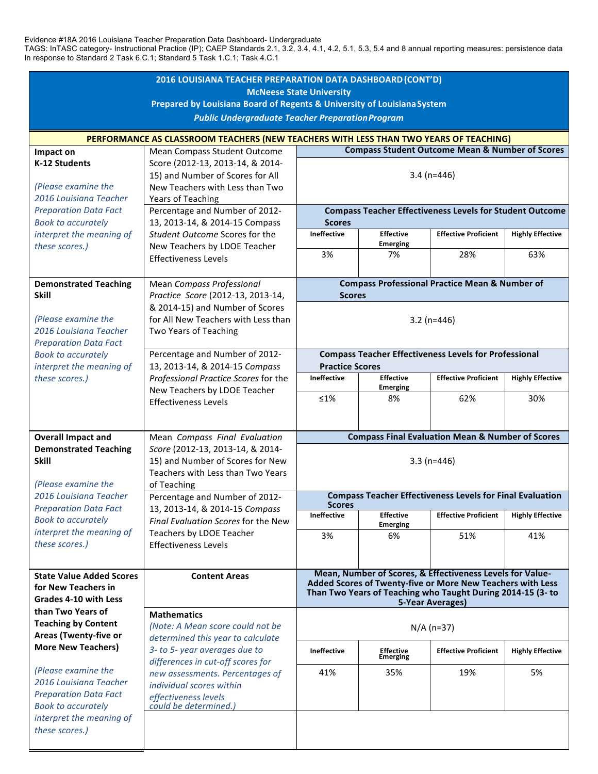Evidence #18A 2016 Louisiana Teacher Preparation Data Dashboard- Undergraduate

TAGS: InTASC category- Instructional Practice (IP); CAEP Standards 2.1, 3.2, 3.4, 4.1, 4.2, 5.1, 5.3, 5.4 and 8 annual reporting measures: persistence data In response to Standard 2 Task 6.C.1; Standard 5 Task 1.C.1; Task 4.C.1

| 2016 LOUISIANA TEACHER PREPARATION DATA DASHBOARD (CONT'D)                                                 |                                                                                                                                                                                                                                                                                   |                                                                                                                                                                                                            |                                     |                             |                         |  |  |  |  |
|------------------------------------------------------------------------------------------------------------|-----------------------------------------------------------------------------------------------------------------------------------------------------------------------------------------------------------------------------------------------------------------------------------|------------------------------------------------------------------------------------------------------------------------------------------------------------------------------------------------------------|-------------------------------------|-----------------------------|-------------------------|--|--|--|--|
| <b>McNeese State University</b><br>Prepared by Louisiana Board of Regents & University of Louisiana System |                                                                                                                                                                                                                                                                                   |                                                                                                                                                                                                            |                                     |                             |                         |  |  |  |  |
| <b>Public Undergraduate Teacher Preparation Program</b>                                                    |                                                                                                                                                                                                                                                                                   |                                                                                                                                                                                                            |                                     |                             |                         |  |  |  |  |
| PERFORMANCE AS CLASSROOM TEACHERS (NEW TEACHERS WITH LESS THAN TWO YEARS OF TEACHING)                      |                                                                                                                                                                                                                                                                                   |                                                                                                                                                                                                            |                                     |                             |                         |  |  |  |  |
| <b>Compass Student Outcome Mean &amp; Number of Scores</b><br>Mean Compass Student Outcome<br>Impact on    |                                                                                                                                                                                                                                                                                   |                                                                                                                                                                                                            |                                     |                             |                         |  |  |  |  |
| K-12 Students<br>(Please examine the                                                                       | Score (2012-13, 2013-14, & 2014-<br>15) and Number of Scores for All<br>New Teachers with Less than Two                                                                                                                                                                           | $3.4$ (n=446)                                                                                                                                                                                              |                                     |                             |                         |  |  |  |  |
| 2016 Louisiana Teacher                                                                                     | Years of Teaching                                                                                                                                                                                                                                                                 |                                                                                                                                                                                                            |                                     |                             |                         |  |  |  |  |
| <b>Preparation Data Fact</b>                                                                               | Percentage and Number of 2012-<br>13, 2013-14, & 2014-15 Compass<br>Student Outcome Scores for the<br>New Teachers by LDOE Teacher                                                                                                                                                | <b>Compass Teacher Effectiveness Levels for Student Outcome</b>                                                                                                                                            |                                     |                             |                         |  |  |  |  |
| <b>Book to accurately</b><br>interpret the meaning of                                                      |                                                                                                                                                                                                                                                                                   | <b>Scores</b><br><b>Ineffective</b>                                                                                                                                                                        | <b>Effective</b>                    | <b>Effective Proficient</b> | <b>Highly Effective</b> |  |  |  |  |
| these scores.)                                                                                             |                                                                                                                                                                                                                                                                                   |                                                                                                                                                                                                            | <b>Emerging</b>                     |                             |                         |  |  |  |  |
|                                                                                                            | <b>Effectiveness Levels</b>                                                                                                                                                                                                                                                       | 3%                                                                                                                                                                                                         | 7%                                  | 28%                         | 63%                     |  |  |  |  |
| <b>Demonstrated Teaching</b>                                                                               | Mean Compass Professional                                                                                                                                                                                                                                                         |                                                                                                                                                                                                            |                                     |                             |                         |  |  |  |  |
| <b>Skill</b>                                                                                               | Practice Score (2012-13, 2013-14,                                                                                                                                                                                                                                                 | <b>Compass Professional Practice Mean &amp; Number of</b><br><b>Scores</b>                                                                                                                                 |                                     |                             |                         |  |  |  |  |
| (Please examine the<br>2016 Louisiana Teacher<br><b>Preparation Data Fact</b>                              | & 2014-15) and Number of Scores<br>for All New Teachers with Less than<br>Two Years of Teaching                                                                                                                                                                                   | $3.2$ (n=446)                                                                                                                                                                                              |                                     |                             |                         |  |  |  |  |
| <b>Book to accurately</b>                                                                                  | Percentage and Number of 2012-<br>13, 2013-14, & 2014-15 Compass<br>Professional Practice Scores for the                                                                                                                                                                          | <b>Compass Teacher Effectiveness Levels for Professional</b><br><b>Practice Scores</b>                                                                                                                     |                                     |                             |                         |  |  |  |  |
| interpret the meaning of<br>these scores.)                                                                 |                                                                                                                                                                                                                                                                                   | Ineffective                                                                                                                                                                                                | <b>Effective</b>                    | <b>Effective Proficient</b> | <b>Highly Effective</b> |  |  |  |  |
|                                                                                                            | New Teachers by LDOE Teacher<br><b>Effectiveness Levels</b>                                                                                                                                                                                                                       | $≤1%$                                                                                                                                                                                                      | <b>Emerging</b><br>8%               | 62%                         | 30%                     |  |  |  |  |
|                                                                                                            |                                                                                                                                                                                                                                                                                   |                                                                                                                                                                                                            |                                     |                             |                         |  |  |  |  |
| <b>Overall Impact and</b>                                                                                  |                                                                                                                                                                                                                                                                                   |                                                                                                                                                                                                            |                                     |                             |                         |  |  |  |  |
| <b>Demonstrated Teaching</b>                                                                               | Mean Compass Final Evaluation<br>Score (2012-13, 2013-14, & 2014-<br>15) and Number of Scores for New<br>Teachers with Less than Two Years<br>of Teaching                                                                                                                         | <b>Compass Final Evaluation Mean &amp; Number of Scores</b>                                                                                                                                                |                                     |                             |                         |  |  |  |  |
| <b>Skill</b><br>(Please examine the                                                                        |                                                                                                                                                                                                                                                                                   | $3.3(n=446)$                                                                                                                                                                                               |                                     |                             |                         |  |  |  |  |
| 2016 Louisiana Teacher                                                                                     | Percentage and Number of 2012-<br>13, 2013-14, & 2014-15 Compass<br>Final Evaluation Scores for the New                                                                                                                                                                           | <b>Compass Teacher Effectiveness Levels for Final Evaluation</b>                                                                                                                                           |                                     |                             |                         |  |  |  |  |
| <b>Preparation Data Fact</b><br><b>Book to accurately</b>                                                  |                                                                                                                                                                                                                                                                                   | <b>Scores</b><br>Ineffective                                                                                                                                                                               | <b>Effective</b>                    | <b>Effective Proficient</b> | <b>Highly Effective</b> |  |  |  |  |
| interpret the meaning of                                                                                   | Teachers by LDOE Teacher                                                                                                                                                                                                                                                          | 3%                                                                                                                                                                                                         | <b>Emerging</b><br>6%               | 51%                         | 41%                     |  |  |  |  |
| these scores.)                                                                                             | <b>Effectiveness Levels</b>                                                                                                                                                                                                                                                       |                                                                                                                                                                                                            |                                     |                             |                         |  |  |  |  |
|                                                                                                            |                                                                                                                                                                                                                                                                                   |                                                                                                                                                                                                            |                                     |                             |                         |  |  |  |  |
| <b>State Value Added Scores</b><br>for New Teachers in<br>Grades 4-10 with Less                            | <b>Content Areas</b>                                                                                                                                                                                                                                                              | Mean, Number of Scores, & Effectiveness Levels for Value-<br>Added Scores of Twenty-five or More New Teachers with Less<br>Than Two Years of Teaching who Taught During 2014-15 (3- to<br>5-Year Averages) |                                     |                             |                         |  |  |  |  |
| than Two Years of<br><b>Teaching by Content</b><br>Areas (Twenty-five or                                   | <b>Mathematics</b><br>(Note: A Mean score could not be<br>determined this year to calculate<br>3- to 5- year averages due to<br>differences in cut-off scores for<br>new assessments. Percentages of<br>individual scores within<br>effectiveness levels<br>could be determined.) | $N/A$ (n=37)                                                                                                                                                                                               |                                     |                             |                         |  |  |  |  |
| <b>More New Teachers)</b>                                                                                  |                                                                                                                                                                                                                                                                                   | <b>Ineffective</b>                                                                                                                                                                                         | <b>Effective</b><br><b>Emerging</b> | <b>Effective Proficient</b> | <b>Highly Effective</b> |  |  |  |  |
| (Please examine the<br>2016 Louisiana Teacher<br><b>Preparation Data Fact</b><br><b>Book to accurately</b> |                                                                                                                                                                                                                                                                                   | 41%                                                                                                                                                                                                        | 35%                                 | 19%                         | 5%                      |  |  |  |  |
| interpret the meaning of<br>these scores.)                                                                 |                                                                                                                                                                                                                                                                                   |                                                                                                                                                                                                            |                                     |                             |                         |  |  |  |  |